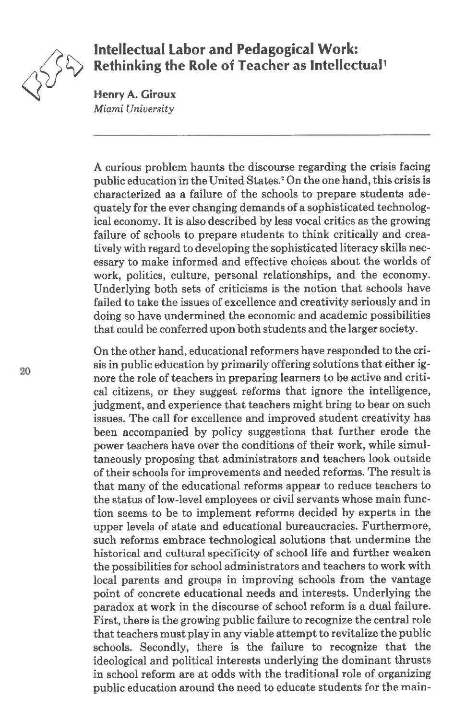

## Intellectual Labor and Pedagogical Work: Rethinking the Role of Teacher as Intellectual<sup>1</sup>

Henry A. Giroux Miami University

<sup>A</sup> curious problem haunts the discourse regarding the crisis facing public education in the United States.2 On the one hand, this crisis is characterized as <sup>a</sup> failure of the schools to prepare students ade quately for the ever changing demands of <sup>a</sup> sophisticated technolog ical economy. It is also described by less vocal critics as the growing failure of schools to prepare students to think critically and crea tively with regard to developing the sophisticated literacy skills nec essary to make informed and effective choices about the worlds of work, politics, culture, personal relationships, and the economy. Underlying both sets of criticisms is the notion that schools have failed to take the issues of excellence and creativity seriously and in doing so have undermined the economic and academic possibilities that could be conferred upon both students and the larger society.

On the other hand, educational reformers have responded to the cri sis in public education by primarily offering solutions that either ig nore the role of teachers in preparing learners to be active and criti cal citizens, or they suggest reforms that ignore the intelligence, judgment, and experience that teachers might bring to bear on such issues. The call for excellence and improved student creativity has been accompanied by policy suggestions that further erode the power teachers have over the conditions of their work, while simul taneously proposing that administrators and teachers look outside of their schools for improvements and needed reforms. The result is that many of the educational reforms appear to reduce teachers to the status of low-level employees or civil servants whose main func tion seems to be to implement reforms decided by experts in the upper levels of state and educational bureaucracies. Furthermore, such reforms embrace technological solutions that undermine the historical and cultural specificity of school life and further weaken the possibilities for school administrators and teachers to work with local parents and groups in improving schools from the vantage point of concrete educational needs and interests. Underlying the paradox at work in the discourse of school reform is <sup>a</sup> dual failure. First, there is the growing public failure to recognize the central role that teachers must play in any viable attempt to revitalize the public schools. Secondly, there is the failure to recognize that the ideological and political interests underlying the dominant thrusts in school reform are at odds with the traditional role of organizing public education around the need to educate students for the main-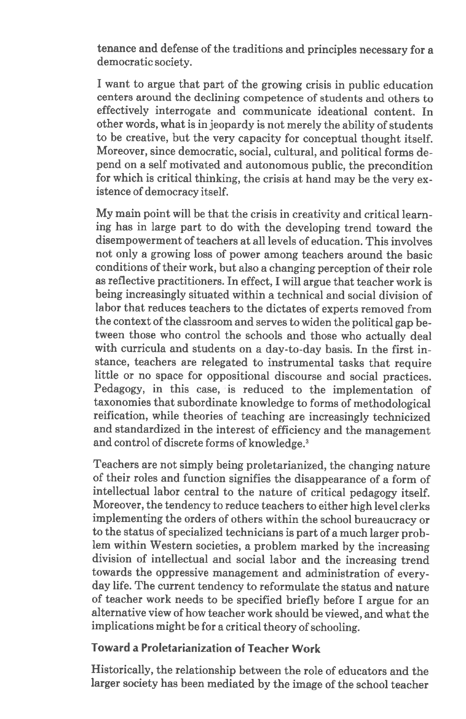tenance and defense of the traditions and principles necessary for <sup>a</sup> democratic society.

I want to argue that part of the growing crisis in public education centers around the declining competence of students and others to effectively interrogate and communicate ideational content. In other words, what is in jeopardy is not merely the ability of students to be creative, but the very capacity for conceptual thought itself. Moreover, since democratic, social, cultural, and political forms de pend on <sup>a</sup> self motivated and autonomous public, the precondition for which is critical thinking, the crisis at hand may be the very ex istence of democracy itself.

My main point will be that the crisis in creativity and critical learn ing has in large part to do with the developing trend toward the disempowerment of teachers at all levels of education. This involves not only <sup>a</sup> growing loss of power among teachers around the basic conditions of their work, but also a changing perception of their role as reflective practitioners. In effect, I will argue that teacher work is being increasingly situated within <sup>a</sup> technical and social division of labor that reduces teachers to the dictates of experts removed from the context of the classroom and serves to widen the political gap between those who control the schools and those who actually deal with curricula and students on <sup>a</sup> day-to-day basis. In the first in stance, teachers are relegated to instrumental tasks that require little or no space for oppositional discourse and social practices. Pedagogy, in this case, is reduced to the implementation of taxonomies that subordinate knowledge to forms of methodological reification, while theories of teaching are increasingly technicized and standardized in the interest of efficiency and the management and control of discrete forms of knowledge.3

Teachers are not simply being proletarianized, the changing nature of their roles and function signifies the disappearance of <sup>a</sup> form of intellectual labor central to the nature of critical pedagogy itself. Moreover, the tendency to reduce teachers to either high level clerks implementing the orders of others within the school bureaucracy or to the status of specialized technicians is part of <sup>a</sup> much larger prob lem within Western societies, <sup>a</sup> problem marked by the increasing division of intellectual and social labor and the increasing trend towards the oppressive management and administration of every day life. The current tendency to reformulate the status and nature of teacher work needs to be specified briefly before I argue for an alternative view of how teacher work should be viewed, and what the implications might be for <sup>a</sup> critical theory of schooling.

## Toward a Proletarianization of Teacher Work

Historically, the relationship between the role of educators and the larger society has been mediated by the image of the school teacher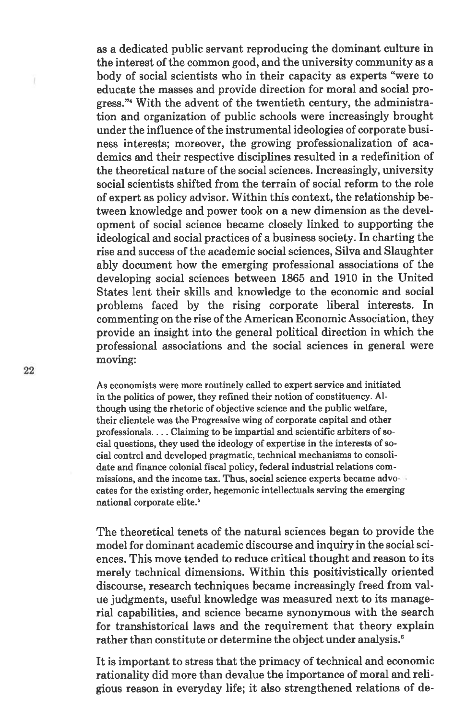as <sup>a</sup> dedicated public servant reproducing the dominant culture in the interest of the common good, and the university community as a body of social scientists who in their capacity as experts "were to educate the masses and provide direction for moral and social pro gress."4 With the advent of the twentieth century, the administra tion and organization of public schools were increasingly brought under the influence of the instrumental ideologies of corporate business interests; moreover, the growing professionalization of aca demics and their respective disciplines resulted in <sup>a</sup> redefinition of the theoretical nature of the social sciences. Increasingly, university social scientists shifted from the terrain of social reform to the role of expert as policy advisor. Within this context, the relationship be tween knowledge and power took on <sup>a</sup> new dimension as the devel opment of social science became closely linked to supporting the ideological and social practices of <sup>a</sup> business society. In charting the rise and success of the academic social sciences, Silva and Slaughter ably document how the emerging professional associations of the developing social sciences between 1865 and 1910 in the United States lent their skills and knowledge to the economic and social problems faced by the rising corporate liberal interests. In commenting on the rise of the American Economic Association, they provide an insight into the general political direction in which the professional associations and the social sciences in general were moving:

As economists were more routinely called to expert service and initiated in the politics of power, they refined their notion of constituency. Al though using the rhetoric of objective science and the public welfare, their clientele was the Progressive wing of corporate capital and other professionals. . . . Claiming to be impartial and scientific arbiters of so cial questions, they used the ideology of expertise in the interests of so cial control and developed pragmatic, technical mechanisms to consoli date and finance colonial fiscal policy, federal industrial relations com missions, and the income tax. Thus, social science experts became advo cates for the existing order, hegemonic intellectuals serving the emerging national corporate elite.<sup>6</sup>

The theoretical tenets of the natural sciences began to provide the model for dominant academic discourse and inquiry in the social sci ences. This move tended to reduce critical thought and reason to its merely technical dimensions. Within this positivistically oriented discourse, research techniques became increasingly freed from val ue judgments, useful knowledge was measured next to its manage rial capabilities, and science became synonymous with the search for transhistorical laws and the requirement that theory explain rather than constitute or determine the object under analysis.<sup>6</sup>

It is important to stress that the primacy of technical and economic rationality did more than devalue the importance of moral and reli gious reason in everyday life; it also strengthened relations of de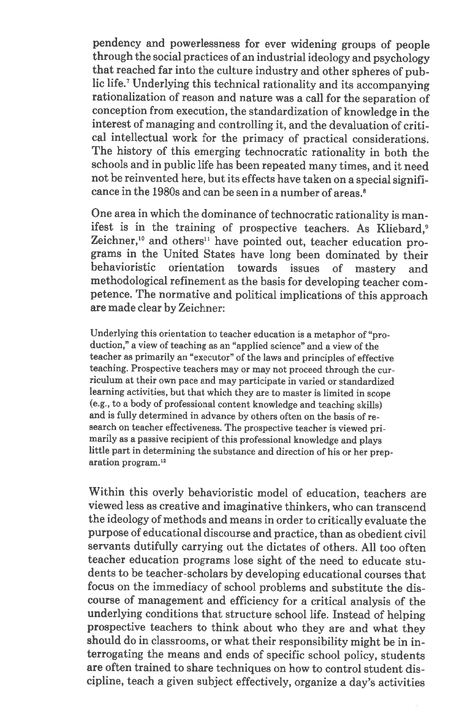pendency and powerlessness for ever widening groups of people through the social practices of an industrial ideology and psychology that reached far into the culture industry and other spheres of pub lic life.7 Underlying this technical rationality and its accompanying rationalization of reason and nature was <sup>a</sup> call for the separation of conception from execution, the standardization of knowledge in the interest of managing and controlling it, and the devaluation of criti cal intellectual work for the primacy of practical considerations. The history of this emerging technocratic rationality in both the schools and in public life has been repeated many times, and it need not be reinvented here, but its effects have taken on <sup>a</sup> special signifi cance in the 1980s and can be seen in a number of areas.<sup>8</sup>

One area in which the dominance of technocratic rationality is manifest is in the training of prospective teachers. As Kliebard,<sup>9</sup> Zeichner,<sup>10</sup> and others<sup>11</sup> have pointed out, teacher education programs in the United States have long been dominated by their behavioristic orientation towards issues of mastery and methodological refinement as the basis for developing teacher com petence. The normative and political implications of this approach are made clear by Zeichner:

Underlying this orientation to teacher education is <sup>a</sup> metaphor of "pro duction," <sup>a</sup> view of teaching as an "applied science" and <sup>a</sup> view of the teacher as primarily an "executor" of the laws and principles of effective teaching. Prospective teachers may or may not proceed through the cur riculum at their own pace and may participate in varied or standardized learning activities, but that which they are to master is limited in scope (e.g., to <sup>a</sup> body of professional content knowledge and teaching skills) and is fully determined in advance by others often on the basis of re search on teacher effectiveness. The prospective teacher is viewed pri marily as <sup>a</sup> passive recipient of this professional knowledge and plays little part in determining the substance and direction of his or her prep aration program."

Within this overly behavioristic model of education, teachers are viewed less as creative and imaginative thinkers, who can transcend the ideology of methods and means in order to critically evaluate the purpose of educational discourse and practice, than as obedient civil servants dutifully carrying out the dictates of others. All too often teacher education programs lose sight of the need to educate stu dents to be teacher-scholars by developing educational courses that focus on the immediacy of school problems and substitute the dis course of management and efficiency for <sup>a</sup> critical analysis of the underlying conditions that structure school life. Instead of helping prospective teachers to think about who they are and what they should do in classrooms, or what their responsibility might be in in terrogating the means and ends of specific school policy, students are often trained to share techniques on how to control student dis cipline, teach <sup>a</sup> given subject effectively, organize <sup>a</sup> day's activities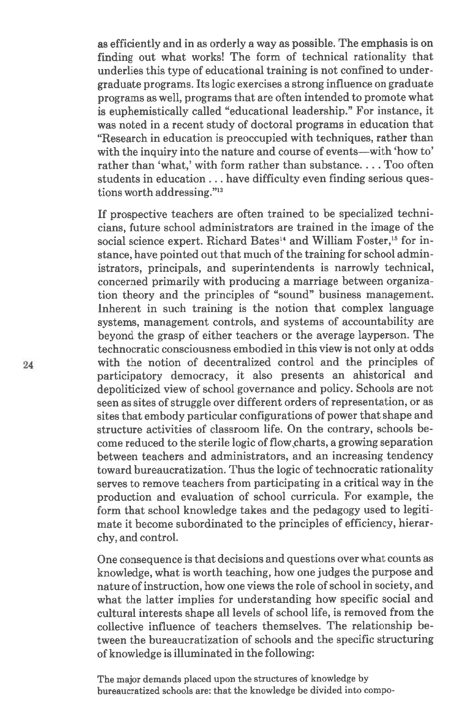as efficiently and in as orderly <sup>a</sup> way as possible. The emphasis is on finding out what works! The form of technical rationality that underlies this type of educational training is not confined to under graduate programs. Its logic exercises <sup>a</sup> strong influence on graduate programs as well, programs that are often intended to promote what is euphemistically called "educational leadership." For instance, it was noted in <sup>a</sup> recent study of doctoral programs in education that "Research in education is preoccupied with techniques, rather than with the inquiry into the nature and course of events—with 'how to' rather than 'what,' with form rather than substance. . . . Too often students in education. . . have difficulty even finding serious ques tions worth addressing."13

If prospective teachers are often trained to be specialized techni cians, future school administrators are trained in the image of the social science expert. Richard Bates<sup>14</sup> and William Foster,<sup>15</sup> for instance, have pointed out that much of the training for school administrators, principals, and superintendents is narrowly technical, concerned primarily with producing <sup>a</sup> marriage between organiza tion theory and the principles of "sound" business management. Inherent in such training is the notion that complex language systems, management controls, and systems of accountability are beyond the grasp of either teachers or the average layperson. The technocratic consciousness embodied in this view is not only at odds with the notion of decentralized control and the principles of participatory democracy, it also presents an ahistorical and depoliticized view of school governance and policy. Schools are not seen as sites of struggle over different orders of representation, or as sites that embody particular configurations of power that shape and structure activities of classroom life. On the contrary, schools be come reduced to the sterile logic of flow charts, a growing separation between teachers and administrators, and an increasing tendency toward bureaucratization. Thus the logic of technocratic rationality serves to remove teachers from participating in <sup>a</sup> critical way in the production and evaluation of school curricula. For example, the form that school knowledge takes and the pedagogy used to legiti mate it become subordinated to the principles of efficiency, hierar chy, and control.

One consequence is that decisions and questions over what counts as knowledge, what is worth teaching, how one judges the purpose and nature of instruction, how one views the role of school in society, and what the latter implies for understanding how specific social and cultural interests shape all levels of school life, is removed from the collective influence of teachers themselves. The relationship be tween the bureaucratization of schools and the specific structuring of knowledge is illuminated in the following:

The major demands placed upon the structures of knowledge by bureaucratized schools are: that the knowledge be divided into compo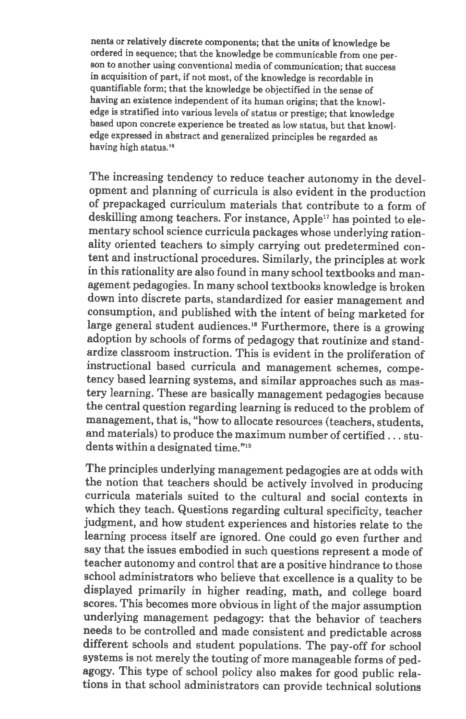nents or relatively discrete components; that the units of knowledge be ordered in sequence; that the knowledge be communicable from one per son to another using conventional media of communication; that success in acquisition of part, if not most, of the knowledge is recordable in quantifiable form; that the knowledge be objectified in the sense of having an existence independent of its human origins; that the knowl edge is stratified into various levels of status or prestige; that knowledge based upon concrete experience be treated as low status, but that knowl edge expressed in abstract and generalized principles be regarded as having high status.16

The increasing tendency to reduce teacher autonomy in the devel opment and planning of curricula is also evident in the production of prepackaged curriculum materials that contribute to <sup>a</sup> form of deskilling among teachers. For instance, Apple'7 has pointed to ele mentary school science curricula packages whose underlying ration ality oriented teachers to simply carrying out predetermined con tent and instructional procedures. Similarly, the principles at work in this rationality are also found in many school textbooks and man agement pedagogies. In many school textbooks knowledge is broken down into discrete parts, standardized for easier management and consumption, and published with the intent of being marketed for large general student audiences.<sup>18</sup> Furthermore, there is a growing adoption by schools of forms of pedagogy that routinize and stand ardize classroom instruction. This is evident in the proliferation of instructional based curricula and management schemes, compe tency based learning systems, and similar approaches such as mas tery learning. These are basically management pedagogies because the central question regarding learning is reduced to the problem of management, that is, "how to allocate resources (teachers, students, and materials) to produce the maximum number of certified.. . stu dents within <sup>a</sup> designated time."'9

The principles underlying management pedagogies are at odds with the notion that teachers should be actively involved in producing curricula materials suited to the cultural and social contexts in which they teach. Questions regarding cultural specificity, teacher judgment, and how student experiences and histories relate to the learning process itself are ignored. One could go even further and say that the issues embodied in such questions represent <sup>a</sup> mode of teacher autonomy and control that are <sup>a</sup> positive hindrance to those school administrators who believe that excellence is <sup>a</sup> quality to be displayed primarily in higher reading, math, and college board scores. This becomes more obvious in light of the major assumption underlying management pedagogy: that the behavior of teachers needs to be controlled and made consistent and predictable across different schools and student populations. The pay-off for school systems is not merely the touting of more manageable forms of ped agogy. This type of school policy also makes for good public rela tions in that school administrators can provide technical solutions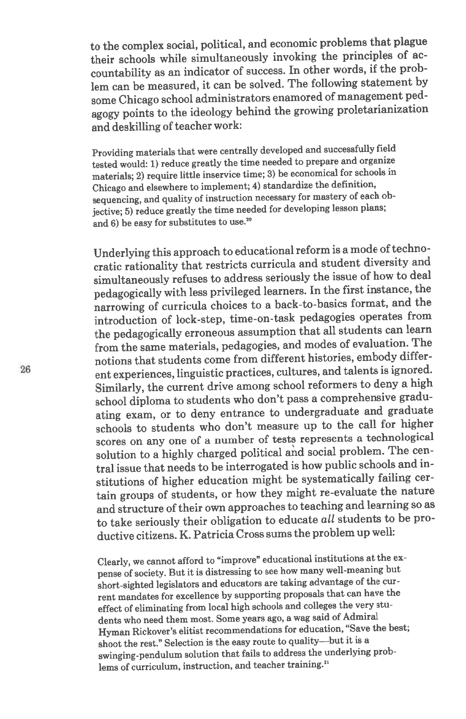to the complex social, political, and economic problems that plague their schools while simultaneously invoking the principles of ac countability as an indicator of success. In other words, if the prob lem can be measured, it can be solved. The following statement by some Chicago school administrators enamored of management ped agogy points to the ideology behind the growing proletarianization and deskilling of teacher work:

Providing materials that were centrally developed and successfully field tested would: 1) reduce greatly the time needed to prepare and organize materials; 2) require little inservice time; 3) be economical for schools in Chicago and elsewhere to implement; 4) standardize the definition, sequencing, and quality of instruction necessary for mastery of each ob jective; 5) reduce greatly the time needed for developing lesson plans; and 6) be easy for substitutes to use.<sup>20</sup>

Underlying this approach to educational reform is a mode of technocratic rationality that restricts curricula and student diversity and simultaneously refuses to address seriously the issue of how to deal pedagogically with less privileged learners. In the first instance, the narrowing of curricula choices to <sup>a</sup> back-to-basics format, and the introduction of lock-step, time-on-task pedagogies operates from the pedagogically erroneous assumption that all students can learn from the same materials, pedagogies, and modes of evaluation. The notions that students come from different histories, embody differ ent experiences, linguistic practices, cultures, and talents is ignored. Similarly, the current drive among school reformers to deny <sup>a</sup> high school diploma to students who don't pass <sup>a</sup> comprehensive gradu ating exam, or to deny entrance to undergraduate and graduate schools to students who don't measure up to the call for higher scores on any one of <sup>a</sup> number of tests represents <sup>a</sup> technological solution to <sup>a</sup> highly charged political and social problem. The cen tral issue that needs to be interrogated is how public schools and in stitutions of higher education might be systematically failing cer tain groups of students, or how they might re-evaluate the nature and structure of their own approaches to teaching and learning so as to take seriously their obligation to educate all students to be pro ductive citizens. K. Patricia Cross sums the problem up well:

Clearly, we cannot afford to "improve" educational institutions at the ex pense of society. But it is distressing to see how many well-meaning but short-sighted legislators and educators are taking advantage of the cur rent mandates for excellence by supporting proposals that can have the effect of eliminating from local high schools and colleges the very stu dents who need them most. Some years ago, <sup>a</sup> wag said of Admiral Hyman Rickover's elitist recommendations for education, "Save the best; shoot the rest." Selection is the easy route to quality—but it is <sup>a</sup> swinging-pendulum solution that fails to address the underlying prob lems of curriculum, instruction, and teacher training.<sup>21</sup>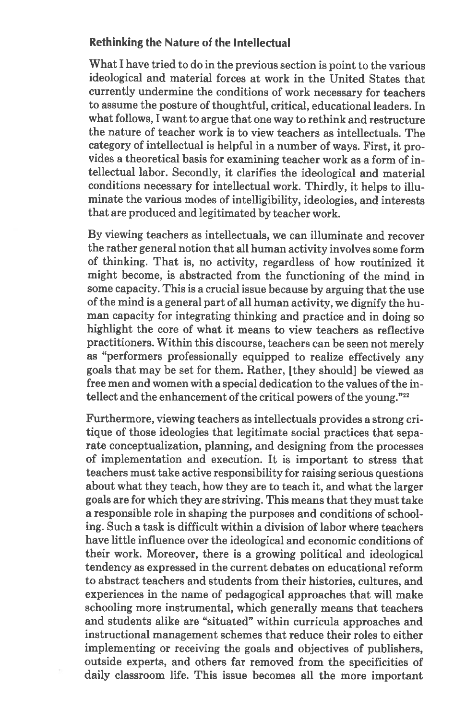## Rethinking the Nature of the Intelledual

What I have tried to do in the previous section is point to the various ideological and material forces at work in the United States that currently undermine the conditions of work necessary for teachers to assume the posture of thoughtful, critical, educational leaders. In what follows, I want to argue that one way to rethink and restructure the nature of teacher work is to view teachers as intellectuals. The category of intellectual is helpful in <sup>a</sup> number of ways. First, it pro vides a theoretical basis for examining teacher work as a form of intellectual labor. Secondly, it clarifies the ideological and material conditions necessary for intellectual work. Thirdly, it helps to illu minate the various modes of intelligibility, ideologies, and interests that are produced and legitimated by teacher work.

By viewing teachers as intellectuals, we can illuminate and recover the rather general notion that all human activity involves some form of thinking. That is, no activity, regardless of how routinized it might become, is abstracted from the functioning of the mind in some capacity. This is a crucial issue because by arguing that the use of the mind is a general part of all human activity, we dignify the human capacity for integrating thinking and practice and in doing so highlight the core of what it means to view teachers as reflective practitioners. Within this discourse, teachers can be seen not merely as "performers professionally equipped to realize effectively any goals that may be set for them. Rather, [they should] be viewed as free men and women with a special dedication to the values of the intellect and the enhancement of the critical powers of the young." $22$ 

Furthermore, viewing teachers as intellectuals provides <sup>a</sup> strong cri tique of those ideologies that legitimate social practices that sepa rate conceptualization, planning, and designing from the processes of implementation and execution. It is important to stress that teachers must take active responsibility for raising serious questions about what they teach, how they are to teach it, and what the larger goals are for which they are striving. This means that they must take <sup>a</sup> responsible role in shaping the purposes and conditions of school ing. Such a task is difficult within a division of labor where teachers have little influence over the ideological and economic conditions of their work. Moreover, there is <sup>a</sup> growing political and ideological tendency as expressed in the current debates on educational reform to abstract teachers and students from their histories, cultures, and experiences in the name of pedagogical approaches that will make schooling more instrumental, which generally means that teachers and students alike are "situated" within curricula approaches and instructional management schemes that reduce their roles to either implementing or receiving the goals and objectives of publishers, outside experts, and others far removed from the specificities of daily classroom life. This issue becomes all the more important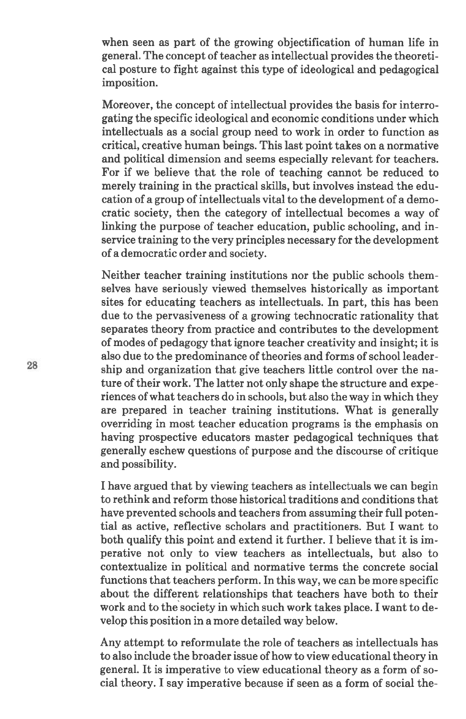when seen as part of the growing objectification of human life in general. The concept of teacher as intellectual provides the theoretical posture to fight against this type of ideological and pedagogical imposition.

Moreover, the concept of intellectual provides the basis for interro gating the specific ideological and economic conditions under which intellectuals as <sup>a</sup> social group need to work in order to function as critical, creative human beings. This last point takes on <sup>a</sup> normative and political dimension and seems especially relevant for teachers. For if we believe that the role of teaching cannot be reduced to merely training in the practical skills, but involves instead the edu cation of a group of intellectuals vital to the development of a democratic society, then the category of intellectual becomes <sup>a</sup> way of linking the purpose of teacher education, public schooling, and inservice training to the very principles necessary for the development of <sup>a</sup> democratic order and society.

Neither teacher training institutions nor the public schools them selves have seriously viewed themselves historically as important sites for educating teachers as intellectuals. In part, this has been due to the pervasiveness of <sup>a</sup> growing technocratic rationality that separates theory from practice and contributes to the development of modes of pedagogy that ignore teacher creativity and insight; it is also due to the predominance of theories and forms of school leadership and organization that give teachers little control over the na ture of their work. The latter not only shape the structure and experiences of what teachers do in schools, but also the way in which they are prepared in teacher training institutions. What is generally overriding in most teacher education programs is the emphasis on having prospective educators master pedagogical techniques that generally eschew questions of purpose and the discourse of critique and possibility.

I have argued that by viewing teachers as intellectuals we can begin to rethink and reform those historical traditions and conditions that have prevented schools and teachers from assuming their full poten tial as active, reflective scholars and practitioners. But I want to both qualify this point and extend it further. <sup>I</sup> believe that it is im perative not only to view teachers as intellectuals, but also to contextualize in political and normative terms the concrete social functions that teachers perform. In this way, we can be more specific about the different relationships that teachers have both to their work and to the society in which such work takes place. I want to de velop this position in <sup>a</sup> more detailed way below.

Any attempt to reformulate the role of teachers as intellectuals has to also include the broader issue of how to view educational theory in general. It is imperative to view educational theory as <sup>a</sup> form of so cial theory. <sup>I</sup> say imperative because if seen as <sup>a</sup> form of social the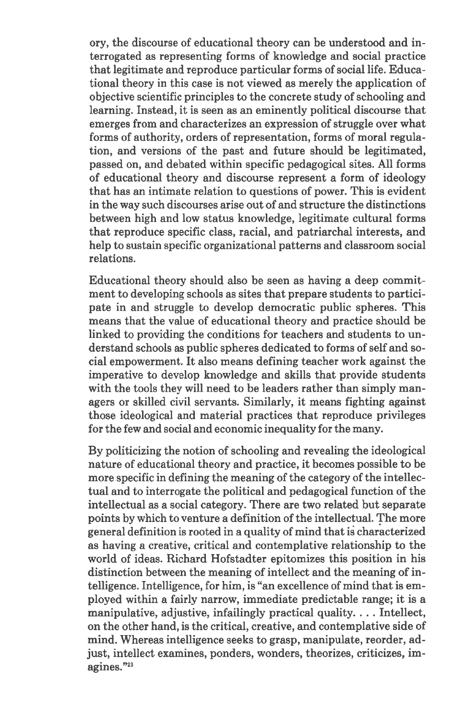ory, the discourse of educational theory can be understood and in terrogated as representing forms of knowledge and social practice that legitimate and reproduce particular forms of social life. Educa tional theory in this case is not viewed as merely the application of objective scientific principles to the concrete study of schooling and learning. Instead, it is seen as an eminently political discourse that emerges from and characterizes an expression of struggle over what forms of authority, orders of representation, forms of moral regula tion, and versions of the past and future should be legitimated, passed on, and debated within specific pedagogical sites. All forms of educational theory and discourse represent <sup>a</sup> form of ideology that has an intimate relation to questions of power. This is evident in the way such discourses arise out of and structure the distinctions between high and low status knowledge, legitimate cultural forms that reproduce specific class, racial, and patriarchal interests, and help to sustain specific organizational patterns and classroom social relations.

Educational theory should also be seen as having <sup>a</sup> deep commit ment to developing schools as sites that prepare students to partici pate in and struggle to develop democratic public spheres. This means that the value of educational theory and practice should be linked to providing the conditions for teachers and students to un derstand schools as public spheres dedicated to forms of self and so cial empowerment. It also means defining teacher work against the imperative to develop knowledge and skills that provide students with the tools they will need to be leaders rather than simply man agers or skilled civil servants. Similarly, it means fighting against those ideological and material practices that reproduce privileges for the few and social and economic inequality for the many.

By politicizing the notion of schooling and revealing the ideological nature of educational theory and practice, it becomes possible to be more specific in defining the meaning of the category of the intellectual and to interrogate the political and pedagogical function of the intellectual as <sup>a</sup> social category. There are two related but separate points by which to venture a definition of the intellectual. The more general definition is rooted in a quality of mind that is characterized as having <sup>a</sup> creative, critical and contemplative relationship to the world of ideas. Richard Hofstadter epitomizes this position in his distinction between the meaning of intellect and the meaning of intelligence. Intelligence, for him, is "an excellence of mind that is em ployed within <sup>a</sup> fairly narrow, immediate predictable range; it is <sup>a</sup> manipulative, adjustive, infailingly practical quality. . . Intellect, on the other hand, is the critical, creative, and contemplative side of mind. Whereas intelligence seeks to grasp, manipulate, reorder, ad just, intellect examines, ponders, wonders, theorizes, criticizes, imagines."23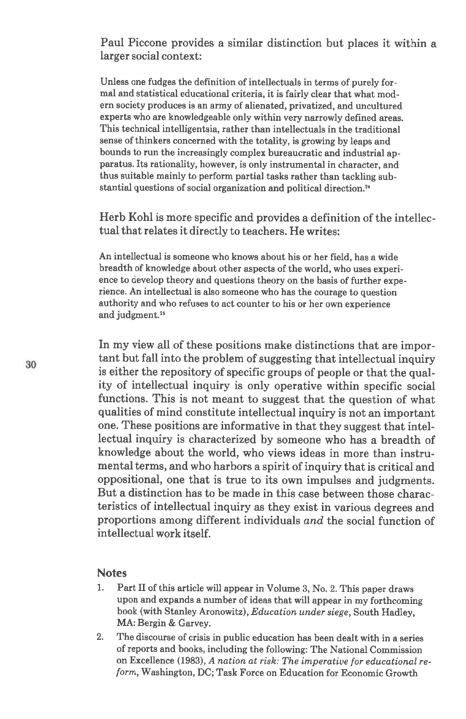Paul Piccone provides <sup>a</sup> similar distinction but places it within <sup>a</sup> larger social context:

Unless one fudges the definition of intellectuals in terms of purely for mal and statistical educational criteria, it is fairly clear that what mod ern society produces is an army of alienated, privatized, and uncultured experts who are knowledgeable only within very narrowly defined areas. This technical intelligentsia, rather than intellectuals in the traditional sense of thinkers concerned with the totality, is growing by leaps and bounds to run the increasingly complex bureaucratic and industrial ap paratus. Its rationality, however, is only instrumental in character, and thus suitable mainly to perform partial tasks rather than tackling sub stantial questions of social organization and political direction.<sup>24</sup>

Herb Kohl is more specific and provides <sup>a</sup> definition of the intellec tual that relates it directly to teachers. He writes:

An intellectual is someone who knows about his or her field, has <sup>a</sup> wide breadth of knowledge about other aspects of the world, who uses experi ence to develop theory and questions theory on the basis of further expe rience. An intellectual is also someone who has the courage to question authority and who refuses to act counter to his or her own experience and judgment.<sup>25</sup>

In my view all of these positions make distinctions that are impor tant but fall into the problem of suggesting that intellectual inquiry is either the repository of specific groups of people or that the qual ity of intellectual inquiry is only operative within specific social functions. This is not meant to suggest that the question of what qualities of mind constitute intellectual inquiry is not an important one. These positions are informative in that they suggest that intel lectual inquiry is characterized by someone who has <sup>a</sup> breadth of knowledge about the world, who views ideas in more than instru mental terms, and who harbors a spirit of inquiry that is critical and oppositional, one that is true to its own impulses and judgments. But a distinction has to be made in this case between those charac teristics of intellectual inquiry as they exist in various degrees and proportions among different individuals and the social function of intellectual work itself.

## **Notes**

- 1. Part II of this article will appear in Volume 3, No. 2. This paper draws upon and expands <sup>a</sup> number of ideas that will appear in my forthcoming book (with Stanley Aronowitz), Education under siege, South Hadley, MA: Bergin & Garvey.
- 2. The discourse of crisis in public education has been dealt with in <sup>a</sup> series of reports and books, including the following: The National Commission on Excellence (1983), A nation at risk: The imperative for educational re form, Washington, DC; Task Force on Education for Economic Growth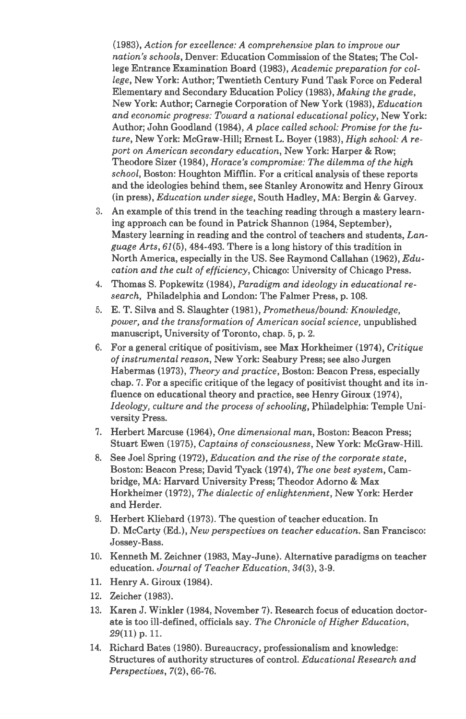(1983), Action for excellence: A comprehensive plan to improve our nation's schools, Denver: Education Commission of the States; The Col lege Entrance Examination Board (1983), Academic preparation for col lege, New York: Author; Twentieth Century Fund Task Force on Federal Elementary and Secondary Education Policy (1983), Making the grade, New York: Author; Carnegie Corporation of New York (1983), Education and economic progress: Toward <sup>a</sup> national educational policy, New York: Author; John Goodland (1984), A place called school: Promise for the fu ture, New York: McGraw-Hill; Ernest L. Boyer (1983), High school: A re port on American secondary education, New York: Harper & Row; Theodore Sizer (1984), Horace's compromise: The dilemma of the high school, Boston: Houghton Mifflin. For <sup>a</sup> critical analysis of these reports and the ideologies behind them, see Stanley Aronowitz and Henry Giroux (in press), Education under siege, South Hadley, MA: Bergin & Garvey.

- 3. An example of this trend in the teaching reading through <sup>a</sup> mastery learn ing approach can be found in Patrick Shannon (1984, September), Mastery learning in reading and the control of teachers and students, Lan guage Arts, 61(5), 484-493. There is along history of this tradition in North America, especially in the US. See Raymond Callahan (1962), Edu cation and the cult of efficiency, Chicago: University of Chicago Press.
- 4. Thomas S. Popkewitz (1984), Paradigm and ideology in educational re search, Philadelphia and London: The Falmer Press, p. 108.
- 5. E. T. Silva and S. Slaughter (1981), Prometheus/bound: Knowledge, power, and the transformation of American social science, unpublished manuscript, University of Toronto, chap. 5, p. 2.
- 6. For <sup>a</sup> general critique of positivism, see Max Horkheimer (1974), Critique of instrumental reason, New York: Seabury Press; see also Jurgen Habermas (1973), Theory and practice, Boston: Beacon Press, especially chap. 7. For <sup>a</sup> specific critique of the legacy of positivist thought and its in fluence on educational theory and practice, see Henry Giroux (1974), Ideology, culture and the process of schooling, Philadelphia: Temple Uni versity Press.
- 7. Herbert Marcuse (1964), One dimensional man, Boston: Beacon Press; Stuart Ewen (1975), Captains of consciousness, New York: McGraw-Hill.
- 8. See Joel Spring (1972), Education and the rise of the corporate state, Boston: Beacon Press; David Tyack (1974), The one best system, Cam bridge, MA: Harvard University Press; Theodor Adorno & Max Horkheimer (1972), The dialectic of enlightenment, New York: Herder and Herder.
- 9. Herbert Kliebard (1973). The question of teacher education. In D. McCarty (Ed.), New perspectives on teacher education. San Francisco: Jossey-Bass.
- 10. Kenneth M. Zeichner (1983, May-June). Alternative paradigms on teacher education. Journal of Teacher Education, 34(3), 3-9.
- 11. Henry A. Giroux (1984).
- 12. Zeicher (1983).
- 13. Karen J. Winkler (1984, November 7). Research focus of education doctor ate is too ill-defined, officials say. The Chronicle of Higher Education, 29(11) p. 11.
- 14. Richard Bates (1980). Bureaucracy, professionalism and knowledge: Structures of authority structures of control. Educational Research and Perspectives, 7(2), 66-76.